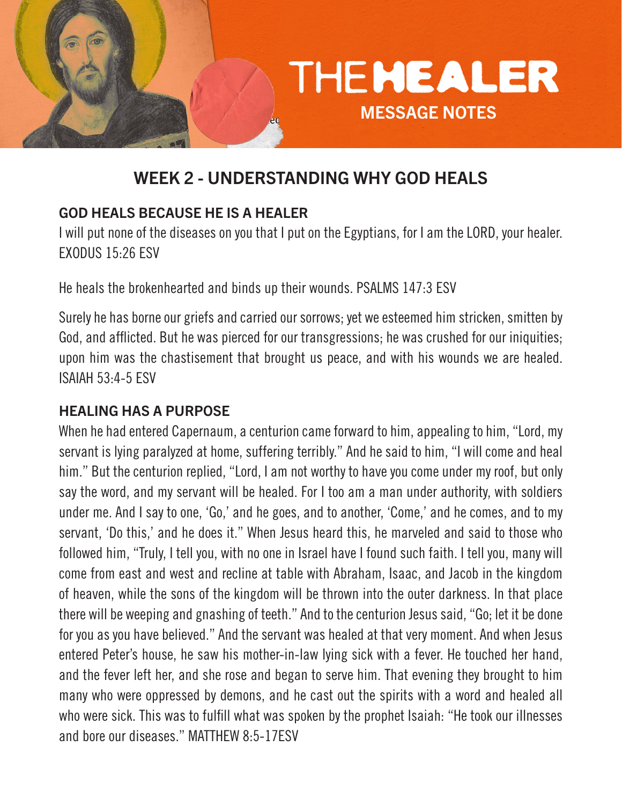

# WEEK 2 - UNDERSTANDING WHY GOD HEALS

### GOD HEALS BECAUSE HE IS A HEALER

I will put none of the diseases on you that I put on the Egyptians, for I am the LORD, your healer. EXODUS 15:26 ESV

He heals the brokenhearted and binds up their wounds. PSALMS 147:3 ESV

Surely he has borne our griefs and carried our sorrows; yet we esteemed him stricken, smitten by God, and afflicted. But he was pierced for our transgressions; he was crushed for our iniquities; upon him was the chastisement that brought us peace, and with his wounds we are healed. ISAIAH 53:4-5 ESV

### HEALING HAS A PURPOSE

When he had entered Capernaum, a centurion came forward to him, appealing to him, "Lord, my servant is lying paralyzed at home, suffering terribly." And he said to him, "I will come and heal him." But the centurion replied, "Lord, I am not worthy to have you come under my roof, but only say the word, and my servant will be healed. For I too am a man under authority, with soldiers under me. And I say to one, 'Go,' and he goes, and to another, 'Come,' and he comes, and to my servant, 'Do this,' and he does it." When Jesus heard this, he marveled and said to those who followed him, "Truly, I tell you, with no one in Israel have I found such faith. I tell you, many will come from east and west and recline at table with Abraham, Isaac, and Jacob in the kingdom of heaven, while the sons of the kingdom will be thrown into the outer darkness. In that place there will be weeping and gnashing of teeth." And to the centurion Jesus said, "Go; let it be done for you as you have believed." And the servant was healed at that very moment. And when Jesus entered Peter's house, he saw his mother-in-law lying sick with a fever. He touched her hand, and the fever left her, and she rose and began to serve him. That evening they brought to him many who were oppressed by demons, and he cast out the spirits with a word and healed all who were sick. This was to fulfill what was spoken by the prophet Isaiah: "He took our illnesses and bore our diseases." MATTHEW 8:5-17ESV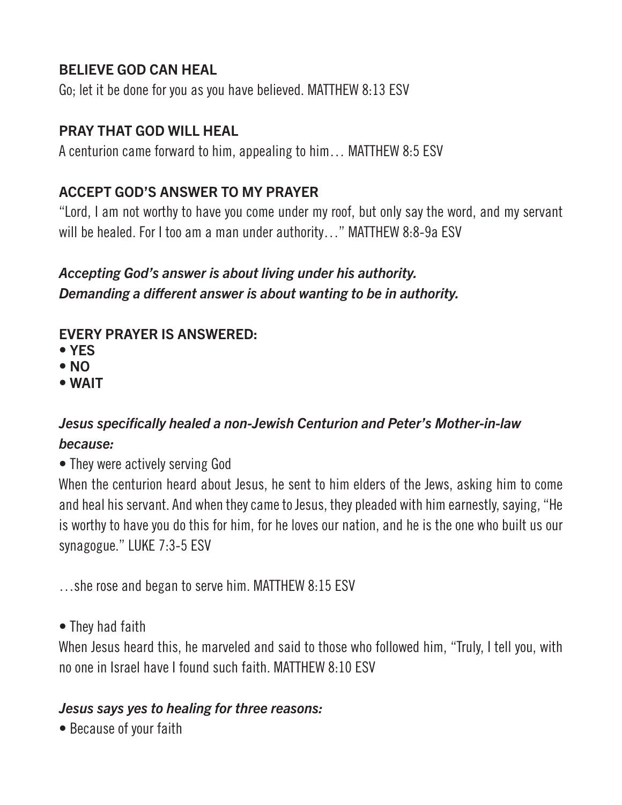### BELIEVE GOD CAN HEAL

Go; let it be done for you as you have believed. MATTHEW 8:13 ESV

#### PRAY THAT GOD WILL HEAL

A centurion came forward to him, appealing to him… MATTHEW 8:5 ESV

### ACCEPT GOD'S ANSWER TO MY PRAYER

"Lord, I am not worthy to have you come under my roof, but only say the word, and my servant will be healed. For I too am a man under authority..." MATTHEW 8:8-9a ESV

# *Accepting God's answer is about living under his authority. Demanding a different answer is about wanting to be in authority.*

# EVERY PRAYER IS ANSWERED:

- YES
- NO
- WAIT

# *Jesus specifically healed a non-Jewish Centurion and Peter's Mother-in-law because:*

• They were actively serving God

When the centurion heard about Jesus, he sent to him elders of the Jews, asking him to come and heal his servant. And when they came to Jesus, they pleaded with him earnestly, saying, "He is worthy to have you do this for him, for he loves our nation, and he is the one who built us our synagogue." LUKE 7:3-5 ESV

…she rose and began to serve him. MATTHEW 8:15 ESV

• They had faith

When Jesus heard this, he marveled and said to those who followed him, "Truly, I tell you, with no one in Israel have I found such faith. MATTHEW 8:10 ESV

#### *Jesus says yes to healing for three reasons:*

• Because of your faith